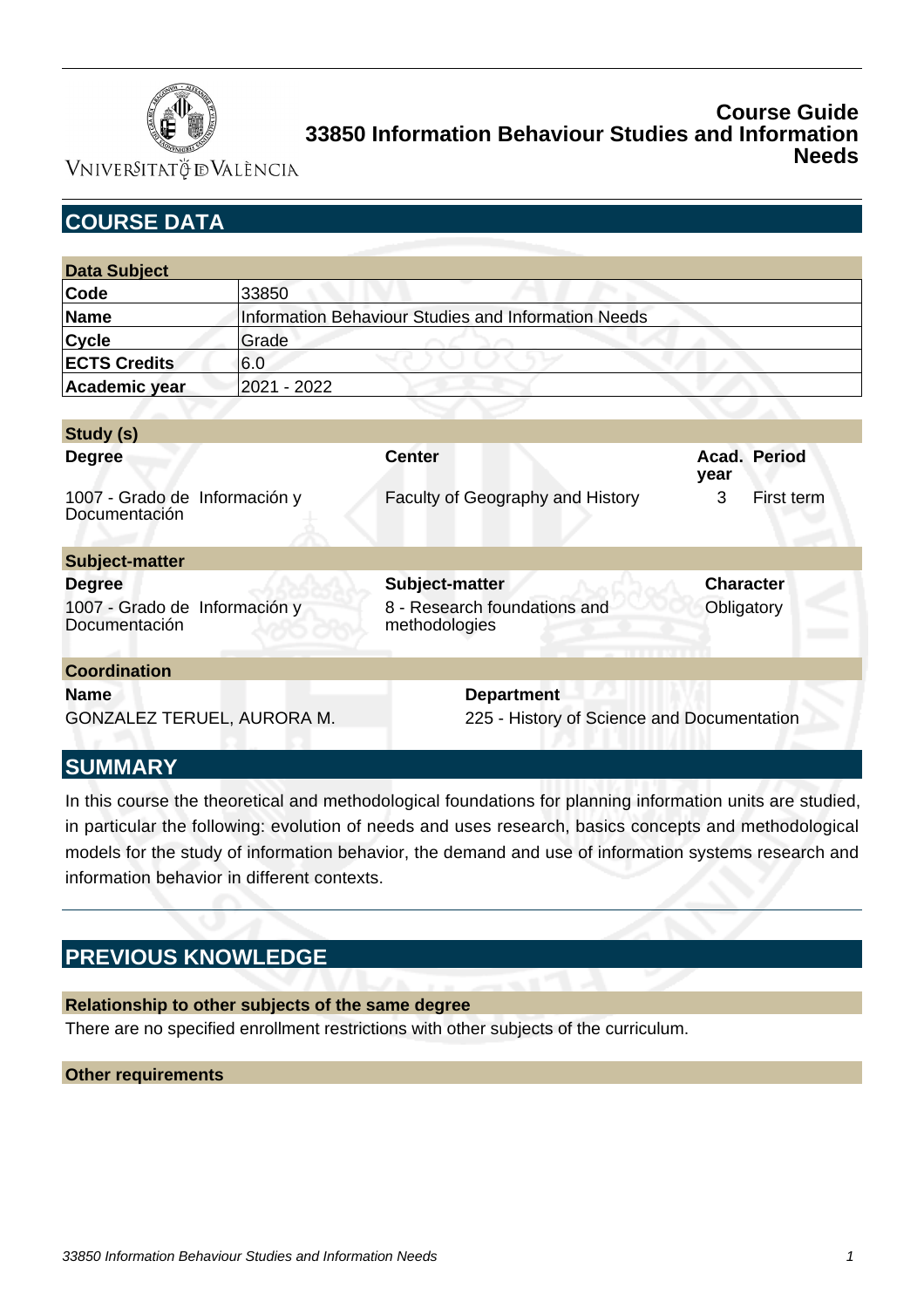

VNIVERSITATÖ ID VALÈNCIA

| <b>COURSE DATA</b>                             |             |                                                     |                                            |  |  |
|------------------------------------------------|-------------|-----------------------------------------------------|--------------------------------------------|--|--|
|                                                |             |                                                     |                                            |  |  |
| <b>Data Subject</b>                            |             |                                                     |                                            |  |  |
| Code                                           | 33850       |                                                     |                                            |  |  |
| Name                                           |             | Information Behaviour Studies and Information Needs |                                            |  |  |
| <b>Cycle</b>                                   | Grade       |                                                     |                                            |  |  |
| <b>ECTS Credits</b>                            | 6.0         |                                                     |                                            |  |  |
| Academic year                                  | 2021 - 2022 |                                                     |                                            |  |  |
|                                                |             |                                                     |                                            |  |  |
| <b>Study (s)</b>                               |             |                                                     |                                            |  |  |
| <b>Degree</b>                                  |             | <b>Center</b>                                       | Acad. Period<br>year                       |  |  |
| 1007 - Grado de Información y<br>Documentación |             | Faculty of Geography and History                    | 3<br>First term                            |  |  |
| <b>Subject-matter</b>                          |             |                                                     |                                            |  |  |
| <b>Degree</b>                                  |             | Subject-matter                                      | <b>Character</b>                           |  |  |
| 1007 - Grado de Información y<br>Documentación |             | 8 - Research foundations and<br>methodologies       | Obligatory                                 |  |  |
| <b>Coordination</b>                            |             |                                                     |                                            |  |  |
| <b>Name</b>                                    |             | <b>Department</b>                                   |                                            |  |  |
| GONZALEZ TERUEL, AURORA M.                     |             |                                                     | 225 - History of Science and Documentation |  |  |
| <b>SUMMARY</b>                                 |             |                                                     |                                            |  |  |

In this course the theoretical and methodological foundations for planning information units are studied, in particular the following: evolution of needs and uses research, basics concepts and methodological models for the study of information behavior, the demand and use of information systems research and information behavior in different contexts.

# **PREVIOUS KNOWLEDGE**

#### **Relationship to other subjects of the same degree** There are no specified enrollment restrictions with other subjects of the curriculum.

**Other requirements**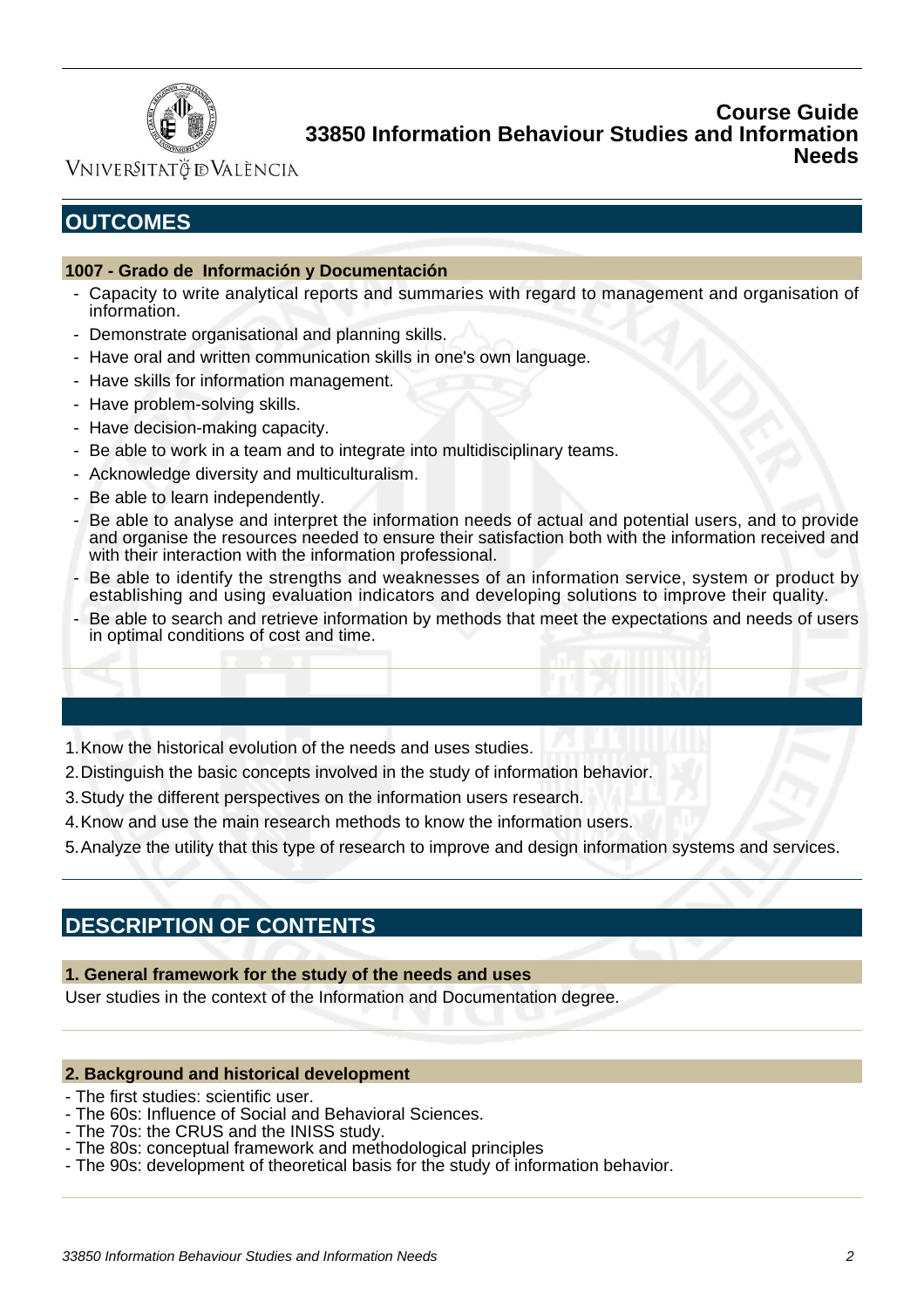

VNIVERSITATÖ ID VALÈNCIA

# **OUTCOMES**

### **1007 - Grado de Información y Documentación**

- Capacity to write analytical reports and summaries with regard to management and organisation of information.
- Demonstrate organisational and planning skills.
- Have oral and written communication skills in one's own language.
- Have skills for information management.
- Have problem-solving skills.
- Have decision-making capacity.
- Be able to work in a team and to integrate into multidisciplinary teams.
- Acknowledge diversity and multiculturalism.
- Be able to learn independently.
- Be able to analyse and interpret the information needs of actual and potential users, and to provide and organise the resources needed to ensure their satisfaction both with the information received and with their interaction with the information professional.
- Be able to identify the strengths and weaknesses of an information service, system or product by establishing and using evaluation indicators and developing solutions to improve their quality.
- Be able to search and retrieve information by methods that meet the expectations and needs of users in optimal conditions of cost and time.
- 1.Know the historical evolution of the needs and uses studies.
- 2.Distinguish the basic concepts involved in the study of information behavior.
- 3.Study the different perspectives on the information users research.
- 4.Know and use the main research methods to know the information users.
- 5.Analyze the utility that this type of research to improve and design information systems and services.

## **DESCRIPTION OF CONTENTS**

#### **1. General framework for the study of the needs and uses**

User studies in the context of the Information and Documentation degree.

#### **2. Background and historical development**

- The first studies: scientific user.
- The 60s: Influence of Social and Behavioral Sciences.
- The 70s: the CRUS and the INISS study.
- The 80s: conceptual framework and methodological principles
- The 90s: development of theoretical basis for the study of information behavior.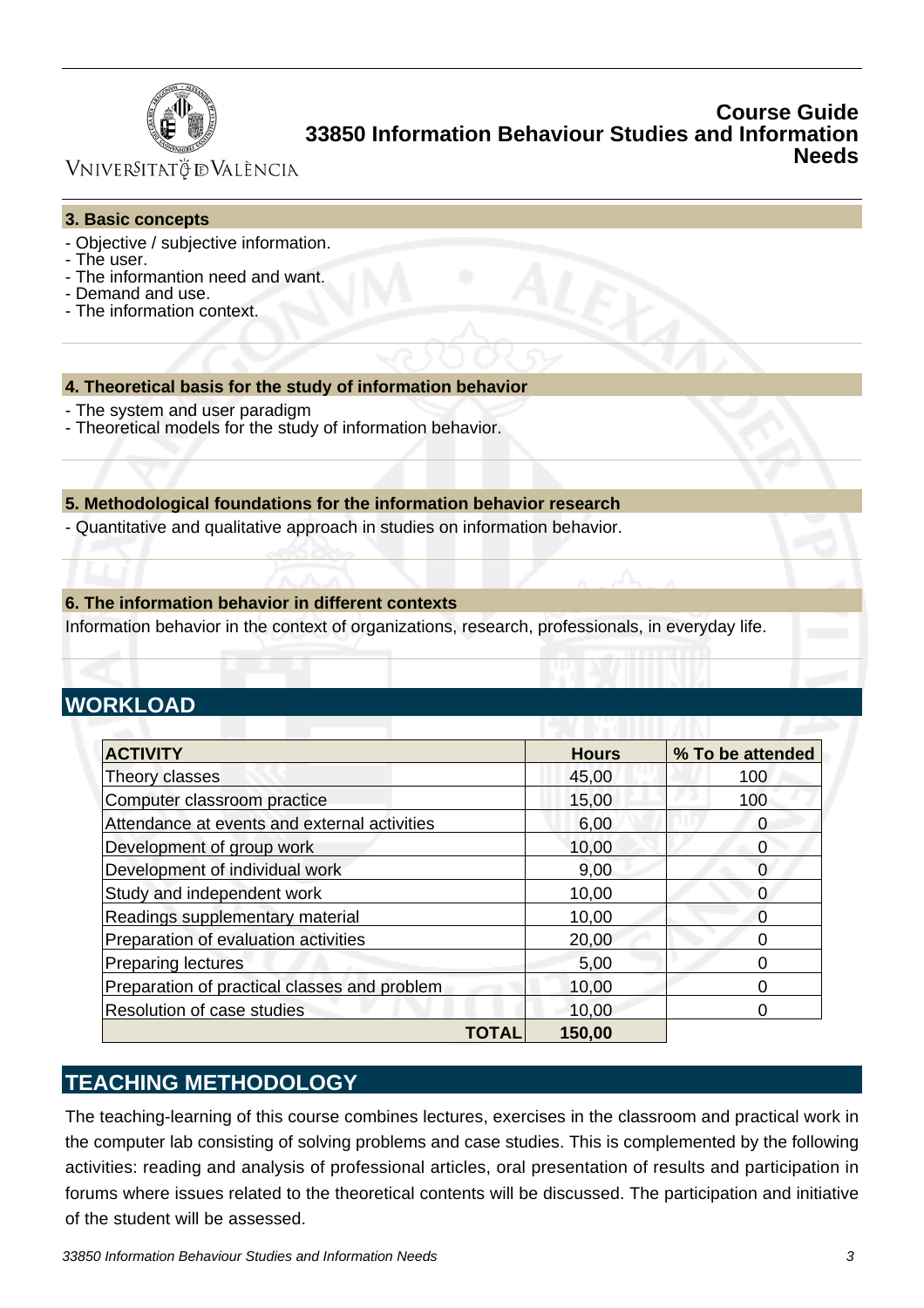

VNIVERSITATÖ ID VALÈNCIA

#### **3. Basic concepts**

- Objective / subjective information.
- The user.
- The informantion need and want.
- Demand and use.
- The information context.

### **4. Theoretical basis for the study of information behavior**

- The system and user paradigm
- Theoretical models for the study of information behavior.

### **5. Methodological foundations for the information behavior research**

- Quantitative and qualitative approach in studies on information behavior.

### **6. The information behavior in different contexts**

Information behavior in the context of organizations, research, professionals, in everyday life.

# **WORKLOAD**

| <b>ACTIVITY</b>                              | <b>Hours</b> | % To be attended |
|----------------------------------------------|--------------|------------------|
| Theory classes                               | 45,00        | 100              |
| Computer classroom practice                  | 15,00        | 100              |
| Attendance at events and external activities | 6,00         | 0                |
| Development of group work                    | 10,00        | O                |
| Development of individual work               | 9,00         | 0                |
| Study and independent work                   | 10,00        | 0                |
| Readings supplementary material              | 10,00        | 0                |
| Preparation of evaluation activities         | 20,00        | ი                |
| <b>Preparing lectures</b>                    | 5,00         | 0                |
| Preparation of practical classes and problem | 10,00        | 0                |
| Resolution of case studies                   | 10,00        | 0                |
| TOTAL                                        | 150,00       |                  |

# **TEACHING METHODOLOGY**

The teaching-learning of this course combines lectures, exercises in the classroom and practical work in the computer lab consisting of solving problems and case studies. This is complemented by the following activities: reading and analysis of professional articles, oral presentation of results and participation in forums where issues related to the theoretical contents will be discussed. The participation and initiative of the student will be assessed.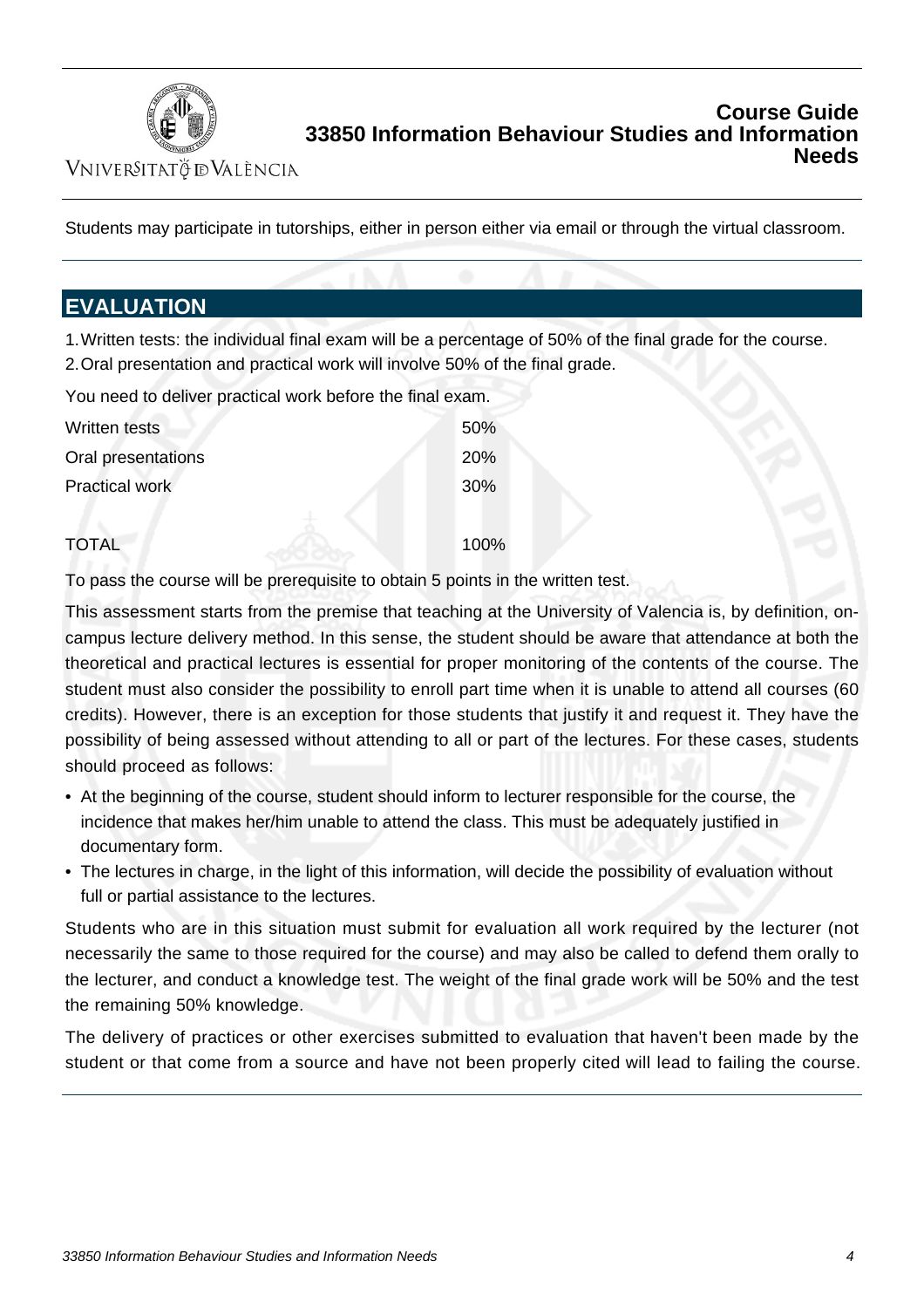

VNIVERSITATÖ ID VALÈNCIA

Students may participate in tutorships, either in person either via email or through the virtual classroom.

## **EVALUATION**

1.Written tests: the individual final exam will be a percentage of 50% of the final grade for the course. 2.Oral presentation and practical work will involve 50% of the final grade.

You need to deliver practical work before the final exam.

| Written tests         | 50%  |
|-----------------------|------|
| Oral presentations    | 20%  |
| <b>Practical work</b> | 30%  |
| <b>TOTAL</b>          | 100% |

To pass the course will be prerequisite to obtain 5 points in the written test.

This assessment starts from the premise that teaching at the University of Valencia is, by definition, oncampus lecture delivery method. In this sense, the student should be aware that attendance at both the theoretical and practical lectures is essential for proper monitoring of the contents of the course. The student must also consider the possibility to enroll part time when it is unable to attend all courses (60 credits). However, there is an exception for those students that justify it and request it. They have the possibility of being assessed without attending to all or part of the lectures. For these cases, students should proceed as follows:

- At the beginning of the course, student should inform to lecturer responsible for the course, the incidence that makes her/him unable to attend the class. This must be adequately justified in documentary form.
- The lectures in charge, in the light of this information, will decide the possibility of evaluation without full or partial assistance to the lectures.

Students who are in this situation must submit for evaluation all work required by the lecturer (not necessarily the same to those required for the course) and may also be called to defend them orally to the lecturer, and conduct a knowledge test. The weight of the final grade work will be 50% and the test the remaining 50% knowledge.

The delivery of practices or other exercises submitted to evaluation that haven't been made by the student or that come from a source and have not been properly cited will lead to failing the course.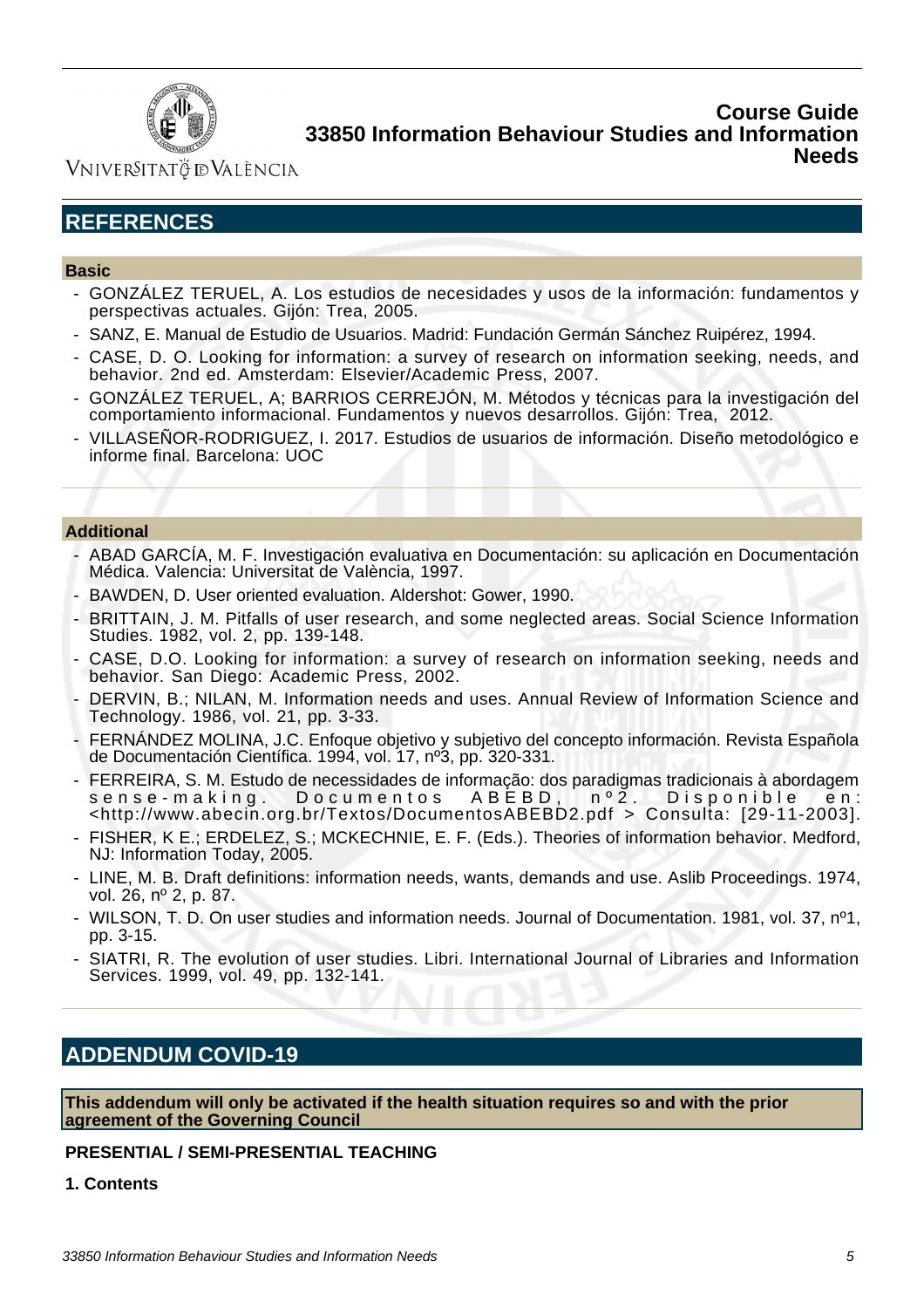

Vniver§itatğ dValència

# **REFERENCES**

#### **Basic**

- GONZÁLEZ TERUEL, A. Los estudios de necesidades y usos de la información: fundamentos y perspectivas actuales. Gijón: Trea, 2005.
- SANZ, E. Manual de Estudio de Usuarios. Madrid: Fundación Germán Sánchez Ruipérez, 1994.
- CASE, D. O. Looking for information: a survey of research on information seeking, needs, and behavior. 2nd ed. Amsterdam: Elsevier/Academic Press, 2007.
- GONZÁLEZ TERUEL, A; BARRIOS CERREJÓN, M. Métodos y técnicas para la investigación del comportamiento informacional. Fundamentos y nuevos desarrollos. Gijón: Trea, 2012.
- VILLASEÑOR-RODRIGUEZ, I. 2017. Estudios de usuarios de información. Diseño metodológico e informe final. Barcelona: UOC

#### **Additional**

- ABAD GARCÍA, M. F. Investigación evaluativa en Documentación: su aplicación en Documentación Médica. Valencia: Universitat de València, 1997.
- BAWDEN, D. User oriented evaluation. Aldershot: Gower, 1990.
- BRITTAIN, J. M. Pitfalls of user research, and some neglected areas. Social Science Information Studies. 1982, vol. 2, pp. 139-148.
- CASE, D.O. Looking for information: a survey of research on information seeking, needs and behavior. San Diego: Academic Press, 2002.
- DERVIN, B.; NILAN, M. Information needs and uses. Annual Review of Information Science and Technology. 1986, vol. 21, pp. 3-33.
- FERNÁNDEZ MOLINA, J.C. Enfoque objetivo y subjetivo del concepto información. Revista Española de Documentación Científica. 1994, vol. 17, nº3, pp. 320-331.
- FERREIRA, S. M. Estudo de necessidades de informação: dos paradigmas tradicionais à abordagem<br>sense-making. Documentos ABEBD, nº2. Disponible en: sense-making. Documentos ABEBD, nº2. Disponible en: <http://www.abecin.org.br/Textos/DocumentosABEBD2.pdf > Consulta: [29-11-2003].
- FISHER, K E.; ERDELEZ, S.; MCKECHNIE, E. F. (Eds.). Theories of information behavior. Medford, NJ: Information Today, 2005.
- LINE, M. B. Draft definitions: information needs, wants, demands and use. Aslib Proceedings. 1974, vol. 26, nº 2, p. 87.
- WILSON, T. D. On user studies and information needs. Journal of Documentation. 1981, vol. 37, nº1, pp. 3-15.
- SIATRI, R. The evolution of user studies. Libri. International Journal of Libraries and Information Services. 1999, vol. 49, pp. 132-141.

# **ADDENDUM COVID-19**

**This addendum will only be activated if the health situation requires so and with the prior agreement of the Governing Council**

### **PRESENTIAL / SEMI-PRESENTIAL TEACHING**

**1. Contents**